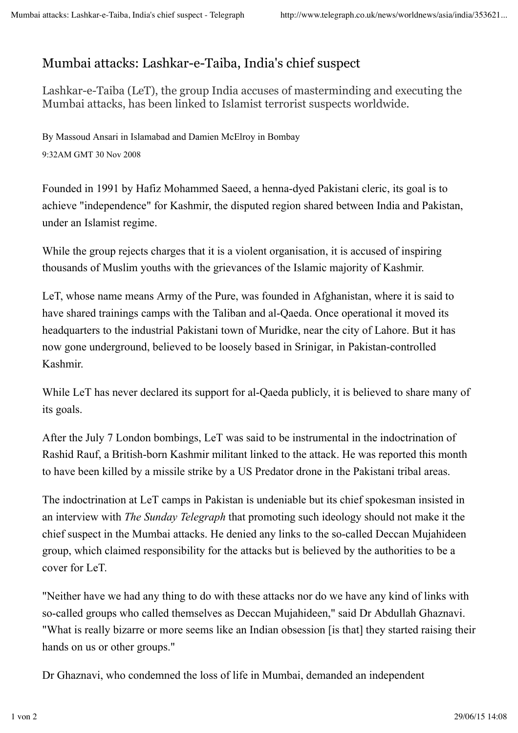## Mumbai attacks: Lashkar-e-Taiba, India's chief suspect

Lashkar-e-Taiba (LeT), the group India accuses of masterminding and executing the Mumbai attacks, has been linked to Islamist terrorist suspects worldwide.

By Massoud Ansari in Islamabad and Damien McElroy in Bombay 9:32AM GMT 30 Nov 2008

Founded in 1991 by Hafiz Mohammed Saeed, a henna-dyed Pakistani cleric, its goal is to achieve "independence" for Kashmir, the disputed region shared between India and Pakistan, under an Islamist regime.

While the group rejects charges that it is a violent organisation, it is accused of inspiring thousands of Muslim youths with the grievances of the Islamic majority of Kashmir.

LeT, whose name means Army of the Pure, was founded in Afghanistan, where it is said to have shared trainings camps with the Taliban and al-Qaeda. Once operational it moved its headquarters to the industrial Pakistani town of Muridke, near the city of Lahore. But it has now gone underground, believed to be loosely based in Srinigar, in Pakistan-controlled Kashmir.

While LeT has never declared its support for al-Qaeda publicly, it is believed to share many of its goals.

After the July 7 London bombings, LeT was said to be instrumental in the indoctrination of Rashid Rauf, a British-born Kashmir militant linked to the attack. He was reported this month to have been killed by a missile strike by a US Predator drone in the Pakistani tribal areas.

The indoctrination at LeT camps in Pakistan is undeniable but its chief spokesman insisted in an interview with *The Sunday Telegraph* that promoting such ideology should not make it the chief suspect in the Mumbai attacks. He denied any links to the so-called Deccan Mujahideen group, which claimed responsibility for the attacks but is believed by the authorities to be a cover for LeT.

"Neither have we had any thing to do with these attacks nor do we have any kind of links with so-called groups who called themselves as Deccan Mujahideen," said Dr Abdullah Ghaznavi. "What is really bizarre or more seems like an Indian obsession [is that] they started raising their hands on us or other groups."

Dr Ghaznavi, who condemned the loss of life in Mumbai, demanded an independent